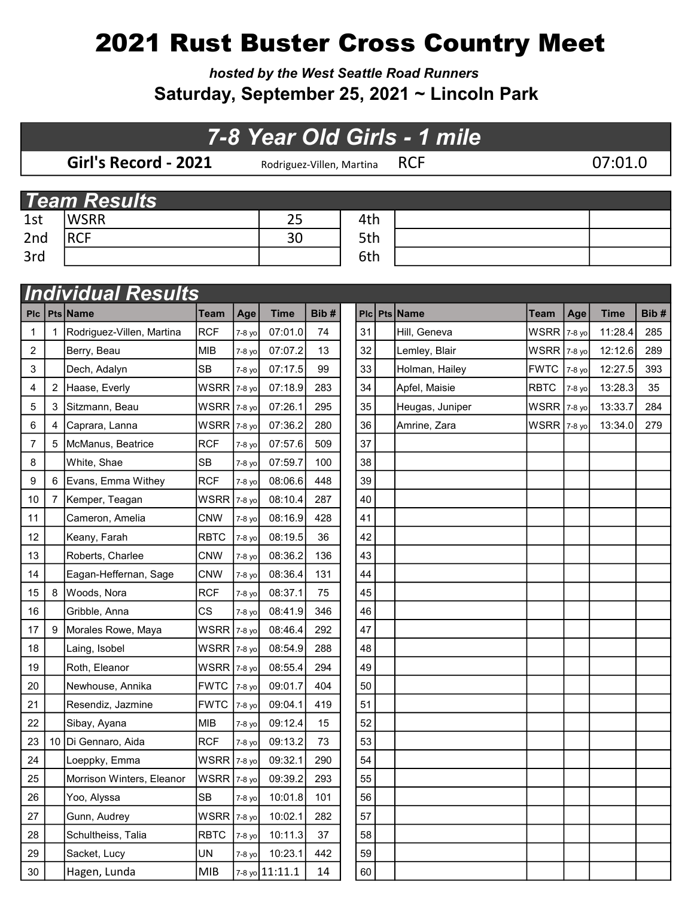## 2021 Rust Buster Cross Country Meet

hosted by the West Seattle Road Runners Saturday, September 25, 2021 ~ Lincoln Park

## 7-8 Year Old Girls - 1 mile

|     | Girl's Record - 2021 | Rodriguez-Villen, Martina $RCF$ |     | 07:01.0 |  |
|-----|----------------------|---------------------------------|-----|---------|--|
|     |                      |                                 |     |         |  |
|     | <b>Team Results</b>  |                                 |     |         |  |
| 1st | <b>WSRR</b>          | 25                              | 4th |         |  |
| 2nd | <b>RCF</b>           | 30                              | 5th |         |  |
| 3rd |                      |                                 | 6th |         |  |

|                | <b>Individual Results</b> |                           |               |        |                  |      |    |    |  |                 |                    |        |             |      |
|----------------|---------------------------|---------------------------|---------------|--------|------------------|------|----|----|--|-----------------|--------------------|--------|-------------|------|
| <b>PIc</b>     |                           | Pts Name                  | Team          | Age    | <b>Time</b>      | Bib# |    |    |  | Plc Pts Name    | Team               | Age    | <b>Time</b> | Bib# |
| 1              | 1                         | Rodriguez-Villen, Martina | <b>RCF</b>    | 7-8 yo | 07:01.0          | 74   | 31 |    |  | Hill, Geneva    | <b>WSRR</b> 7-8 yo |        | 11:28.4     | 285  |
| $\overline{c}$ |                           | Berry, Beau               | <b>MIB</b>    | 7-8 yo | 07:07.2          | 13   | 32 |    |  | Lemley, Blair   | $WSRR$ 7-8 yo      |        | 12:12.6     | 289  |
| 3              |                           | Dech, Adalyn              | <b>SB</b>     | 7-8 yo | 07:17.5          | 99   | 33 |    |  | Holman, Hailey  | <b>FWTC</b>        | 7-8 yo | 12:27.5     | 393  |
| 4              | 2                         | Haase, Everly             | WSRR 7-8 yo   |        | 07:18.9          | 283  | 34 |    |  | Apfel, Maisie   | <b>RBTC</b>        | 7-8 yo | 13:28.3     | 35   |
| 5              | 3                         | Sitzmann, Beau            | $WSRR$ 7-8 yo |        | 07:26.1          | 295  | 35 |    |  | Heugas, Juniper | $WSRR$ 7-8 yo      |        | 13:33.7     | 284  |
| 6              | 4                         | Caprara, Lanna            | <b>WSRR</b>   | 7-8 yo | 07:36.2          | 280  | 36 |    |  | Amrine, Zara    | WSRR 7-8 yo        |        | 13:34.0     | 279  |
| 7              | 5                         | McManus, Beatrice         | <b>RCF</b>    | 7-8 yo | 07:57.6          | 509  | 37 |    |  |                 |                    |        |             |      |
| 8              |                           | White, Shae               | <b>SB</b>     | 7-8 yo | 07:59.7          | 100  | 38 |    |  |                 |                    |        |             |      |
| 9              | 6                         | Evans, Emma Withey        | <b>RCF</b>    | 7-8 yo | 08:06.6          | 448  | 39 |    |  |                 |                    |        |             |      |
| 10             | 7                         | Kemper, Teagan            | <b>WSRR</b>   | 7-8 yo | 08:10.4          | 287  | 40 |    |  |                 |                    |        |             |      |
| 11             |                           | Cameron, Amelia           | <b>CNW</b>    | 7-8 yo | 08:16.9          | 428  | 41 |    |  |                 |                    |        |             |      |
| 12             |                           | Keany, Farah              | <b>RBTC</b>   | 7-8 yo | 08:19.5          | 36   | 42 |    |  |                 |                    |        |             |      |
| 13             |                           | Roberts, Charlee          | <b>CNW</b>    | 7-8 yo | 08:36.2          | 136  | 43 |    |  |                 |                    |        |             |      |
| 14             |                           | Eagan-Heffernan, Sage     | <b>CNW</b>    | 7-8 yo | 08:36.4          | 131  | 44 |    |  |                 |                    |        |             |      |
| 15             | 8                         | Woods, Nora               | <b>RCF</b>    | 7-8 yo | 08:37.1          | 75   | 45 |    |  |                 |                    |        |             |      |
| 16             |                           | Gribble, Anna             | <b>CS</b>     | 7-8 yo | 08:41.9          | 346  | 46 |    |  |                 |                    |        |             |      |
| 17             | 9                         | Morales Rowe, Maya        | WSRR 7-8 yo   |        | 08:46.4          | 292  | 47 |    |  |                 |                    |        |             |      |
| 18             |                           | Laing, Isobel             | WSRR 7-8 yo   |        | 08:54.9          | 288  | 48 |    |  |                 |                    |        |             |      |
| 19             |                           | Roth, Eleanor             | WSRR 7-8 yo   |        | 08:55.4          | 294  | 49 |    |  |                 |                    |        |             |      |
| 20             |                           | Newhouse, Annika          | <b>FWTC</b>   | 7-8 yo | 09:01.7          | 404  | 50 |    |  |                 |                    |        |             |      |
| 21             |                           | Resendiz, Jazmine         | <b>FWTC</b>   | 7-8 yo | 09:04.1          | 419  | 51 |    |  |                 |                    |        |             |      |
| 22             |                           | Sibay, Ayana              | <b>MIB</b>    | 7-8 yo | 09:12.4          | 15   | 52 |    |  |                 |                    |        |             |      |
| 23             |                           | 10 Di Gennaro, Aida       | <b>RCF</b>    | 7-8 yo | 09:13.2          | 73   | 53 |    |  |                 |                    |        |             |      |
| 24             |                           | Loeppky, Emma             | WSRR 7-8 yo   |        | 09:32.1          | 290  | 54 |    |  |                 |                    |        |             |      |
| 25             |                           | Morrison Winters, Eleanor | WSRR 7-8 yo   |        | 09:39.2          | 293  | 55 |    |  |                 |                    |        |             |      |
| 26             |                           | Yoo, Alyssa               | <b>SB</b>     | 7-8 yo | 10:01.8          | 101  |    | 56 |  |                 |                    |        |             |      |
| 27             |                           | Gunn, Audrey              | WSRR 7-8 yo   |        | 10:02.1          | 282  |    | 57 |  |                 |                    |        |             |      |
| 28             |                           | Schultheiss, Talia        | <b>RBTC</b>   | 7-8 yo | 10:11.3          | 37   |    | 58 |  |                 |                    |        |             |      |
| 29             |                           | Sacket, Lucy              | UN            | 7-8 yo | 10:23.1          | 442  |    | 59 |  |                 |                    |        |             |      |
| 30             |                           | Hagen, Lunda              | <b>MIB</b>    |        | $7-8$ yo 11:11.1 | 14   |    | 60 |  |                 |                    |        |             |      |